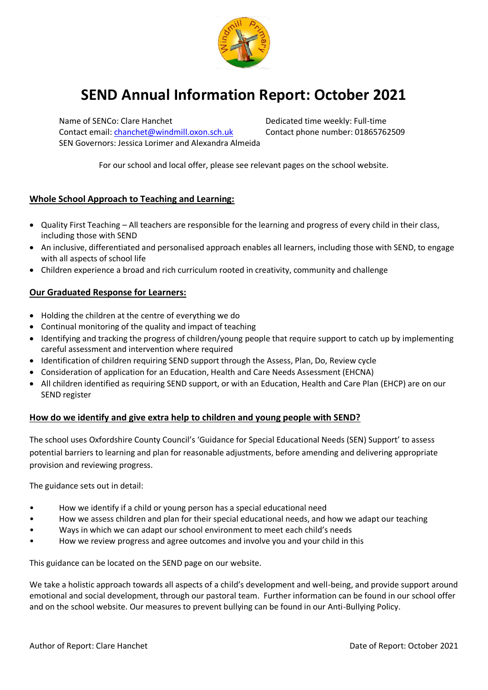

# **SEND Annual Information Report: October 2021**

Contact email: [chanchet@windmill.oxon.sch.uk](mailto:chanchet@windmill.oxon.sch.uk) Contact phone number: 01865762509 SEN Governors: Jessica Lorimer and Alexandra Almeida

Name of SENCo: Clare Hanchet Dedicated time weekly: Full-time

For our school and local offer, please see relevant pages on the school website.

# **Whole School Approach to Teaching and Learning:**

- Quality First Teaching All teachers are responsible for the learning and progress of every child in their class, including those with SEND
- An inclusive, differentiated and personalised approach enables all learners, including those with SEND, to engage with all aspects of school life
- Children experience a broad and rich curriculum rooted in creativity, community and challenge

# **Our Graduated Response for Learners:**

- Holding the children at the centre of everything we do
- Continual monitoring of the quality and impact of teaching
- Identifying and tracking the progress of children/young people that require support to catch up by implementing careful assessment and intervention where required
- Identification of children requiring SEND support through the Assess, Plan, Do, Review cycle
- Consideration of application for an Education, Health and Care Needs Assessment (EHCNA)
- All children identified as requiring SEND support, or with an Education, Health and Care Plan (EHCP) are on our SEND register

# **How do we identify and give extra help to children and young people with SEND?**

The school uses Oxfordshire County Council's 'Guidance for Special Educational Needs (SEN) Support' to assess potential barriers to learning and plan for reasonable adjustments, before amending and delivering appropriate provision and reviewing progress.

The guidance sets out in detail:

- How we identify if a child or young person has a special educational need
- How we assess children and plan for their special educational needs, and how we adapt our teaching
- Ways in which we can adapt our school environment to meet each child's needs
- How we review progress and agree outcomes and involve you and your child in this

This guidance can be located on the SEND page on our website.

We take a holistic approach towards all aspects of a child's development and well-being, and provide support around emotional and social development, through our pastoral team. Further information can be found in our school offer and on the school website. Our measures to prevent bullying can be found in our Anti-Bullying Policy.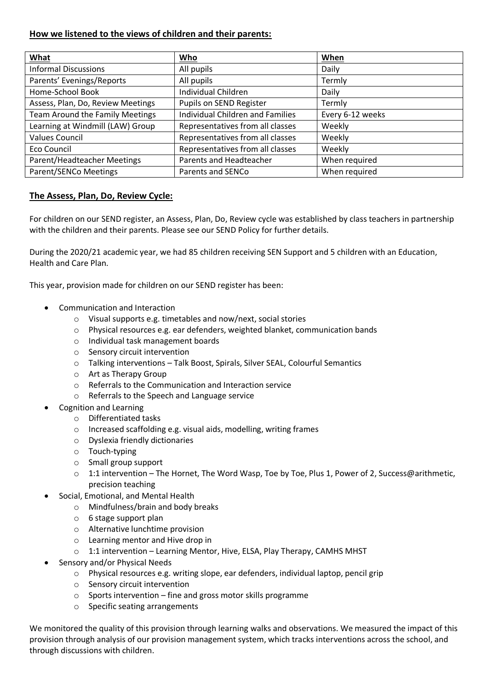# **How we listened to the views of children and their parents:**

| What                                   | Who                                     | When             |
|----------------------------------------|-----------------------------------------|------------------|
| <b>Informal Discussions</b>            | All pupils                              | Daily            |
| Parents' Evenings/Reports              | All pupils                              | Termly           |
| Home-School Book                       | Individual Children                     | Daily            |
| Assess, Plan, Do, Review Meetings      | Pupils on SEND Register                 | Termly           |
| <b>Team Around the Family Meetings</b> | <b>Individual Children and Families</b> | Every 6-12 weeks |
| Learning at Windmill (LAW) Group       | Representatives from all classes        | Weekly           |
| <b>Values Council</b>                  | Representatives from all classes        | Weekly           |
| Eco Council                            | Representatives from all classes        | Weekly           |
| Parent/Headteacher Meetings            | Parents and Headteacher                 | When required    |
| Parent/SENCo Meetings                  | Parents and SENCo                       | When required    |

# **The Assess, Plan, Do, Review Cycle:**

For children on our SEND register, an Assess, Plan, Do, Review cycle was established by class teachers in partnership with the children and their parents. Please see our SEND Policy for further details.

During the 2020/21 academic year, we had 85 children receiving SEN Support and 5 children with an Education, Health and Care Plan.

This year, provision made for children on our SEND register has been:

- Communication and Interaction
	- o Visual supports e.g. timetables and now/next, social stories
	- o Physical resources e.g. ear defenders, weighted blanket, communication bands
	- o Individual task management boards
	- o Sensory circuit intervention
	- o Talking interventions Talk Boost, Spirals, Silver SEAL, Colourful Semantics
	- o Art as Therapy Group
	- o Referrals to the Communication and Interaction service
	- o Referrals to the Speech and Language service
- Cognition and Learning
	- o Differentiated tasks
	- o Increased scaffolding e.g. visual aids, modelling, writing frames
	- o Dyslexia friendly dictionaries
	- o Touch-typing
	- o Small group support
	- $\circ$  1:1 intervention The Hornet, The Word Wasp, Toe by Toe, Plus 1, Power of 2, Success@arithmetic, precision teaching
- Social, Emotional, and Mental Health
	- o Mindfulness/brain and body breaks
	- o 6 stage support plan
	- o Alternative lunchtime provision
	- o Learning mentor and Hive drop in
	- o 1:1 intervention Learning Mentor, Hive, ELSA, Play Therapy, CAMHS MHST
- Sensory and/or Physical Needs
	- o Physical resources e.g. writing slope, ear defenders, individual laptop, pencil grip
	- o Sensory circuit intervention
	- o Sports intervention fine and gross motor skills programme
	- o Specific seating arrangements

We monitored the quality of this provision through learning walks and observations. We measured the impact of this provision through analysis of our provision management system, which tracks interventions across the school, and through discussions with children.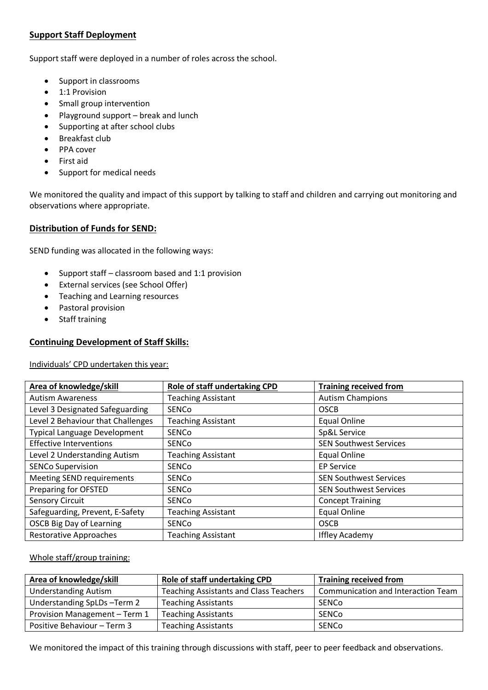# **Support Staff Deployment**

Support staff were deployed in a number of roles across the school.

- Support in classrooms
- **•** 1:1 Provision
- Small group intervention
- Playground support break and lunch
- Supporting at after school clubs
- Breakfast club
- PPA cover
- First aid
- Support for medical needs

We monitored the quality and impact of this support by talking to staff and children and carrying out monitoring and observations where appropriate.

#### **Distribution of Funds for SEND:**

SEND funding was allocated in the following ways:

- Support staff classroom based and 1:1 provision
- External services (see School Offer)
- Teaching and Learning resources
- Pastoral provision
- Staff training

### **Continuing Development of Staff Skills:**

Individuals' CPD undertaken this year:

| Area of knowledge/skill             | Role of staff undertaking CPD | <b>Training received from</b> |
|-------------------------------------|-------------------------------|-------------------------------|
| <b>Autism Awareness</b>             | <b>Teaching Assistant</b>     | <b>Autism Champions</b>       |
| Level 3 Designated Safeguarding     | SENCo                         | <b>OSCB</b>                   |
| Level 2 Behaviour that Challenges   | <b>Teaching Assistant</b>     | <b>Equal Online</b>           |
| <b>Typical Language Development</b> | <b>SENCO</b>                  | Sp&L Service                  |
| <b>Effective Interventions</b>      | SENCo                         | <b>SEN Southwest Services</b> |
| Level 2 Understanding Autism        | <b>Teaching Assistant</b>     | <b>Equal Online</b>           |
| <b>SENCo Supervision</b>            | SENCo                         | <b>EP Service</b>             |
| <b>Meeting SEND requirements</b>    | <b>SENCO</b>                  | <b>SEN Southwest Services</b> |
| Preparing for OFSTED                | SENCo                         | <b>SEN Southwest Services</b> |
| <b>Sensory Circuit</b>              | SENCo                         | <b>Concept Training</b>       |
| Safeguarding, Prevent, E-Safety     | <b>Teaching Assistant</b>     | <b>Equal Online</b>           |
| <b>OSCB Big Day of Learning</b>     | SENCo                         | <b>OSCB</b>                   |
| <b>Restorative Approaches</b>       | <b>Teaching Assistant</b>     | <b>Iffley Academy</b>         |

#### Whole staff/group training:

| Area of knowledge/skill       | Role of staff undertaking CPD                 | <b>Training received from</b>      |
|-------------------------------|-----------------------------------------------|------------------------------------|
| <b>Understanding Autism</b>   | <b>Teaching Assistants and Class Teachers</b> | Communication and Interaction Team |
| Understanding SpLDs-Term 2    | <b>Teaching Assistants</b>                    | SENCo                              |
| Provision Management - Term 1 | <b>Teaching Assistants</b>                    | SENCo                              |
| Positive Behaviour - Term 3   | <b>Teaching Assistants</b>                    | SENCo                              |

We monitored the impact of this training through discussions with staff, peer to peer feedback and observations.